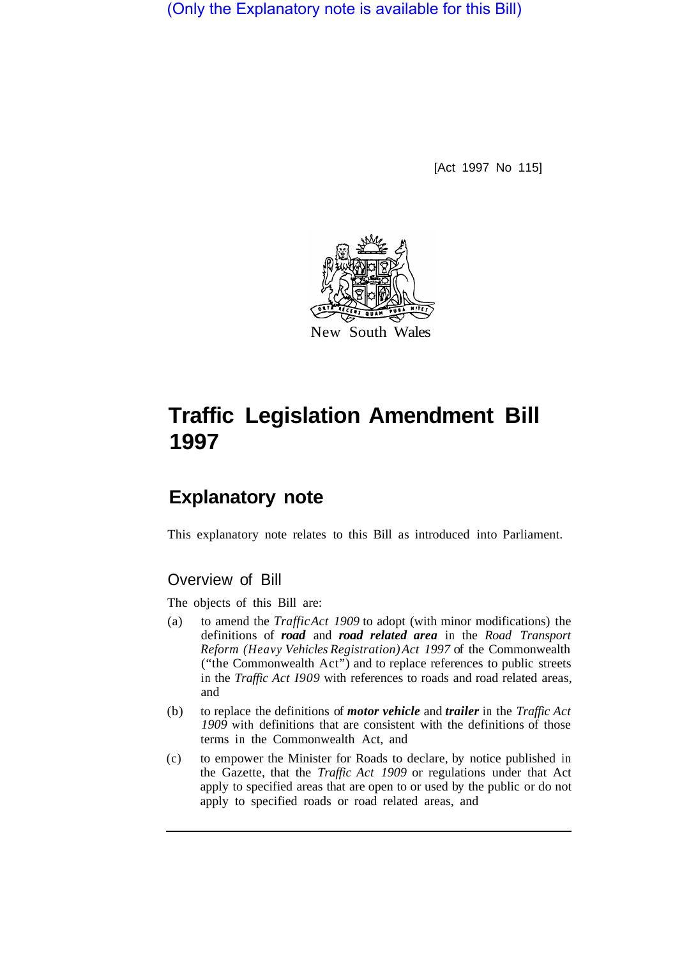(Only the Explanatory note is available for this Bill)

[Act 1997 No 115]



## **Traffic Legislation Amendment Bill 1997**

## **Explanatory note**

This explanatory note relates to this Bill as introduced into Parliament.

## Overview of Bill

The objects of this Bill are:

- (a) to amend the *Traffic Act 1909* to adopt (with minor modifications) the definitions of *road* and *road related area* in the *Road Transport Reform (Heavy Vehicles Registration) Act 1997* of the Commonwealth ("the Commonwealth Act") and to replace references to public streets in the *Traffic Act I909* with references to roads and road related areas, and
- (b) to replace the definitions of *motor vehicle* and *trailer* in the *Traffic Act 1909* with definitions that are consistent with the definitions of those terms in the Commonwealth Act, and
- (c) to empower the Minister for Roads to declare, by notice published in the Gazette, that the *Traffic Act 1909* or regulations under that Act apply to specified areas that are open to or used by the public or do not apply to specified roads or road related areas, and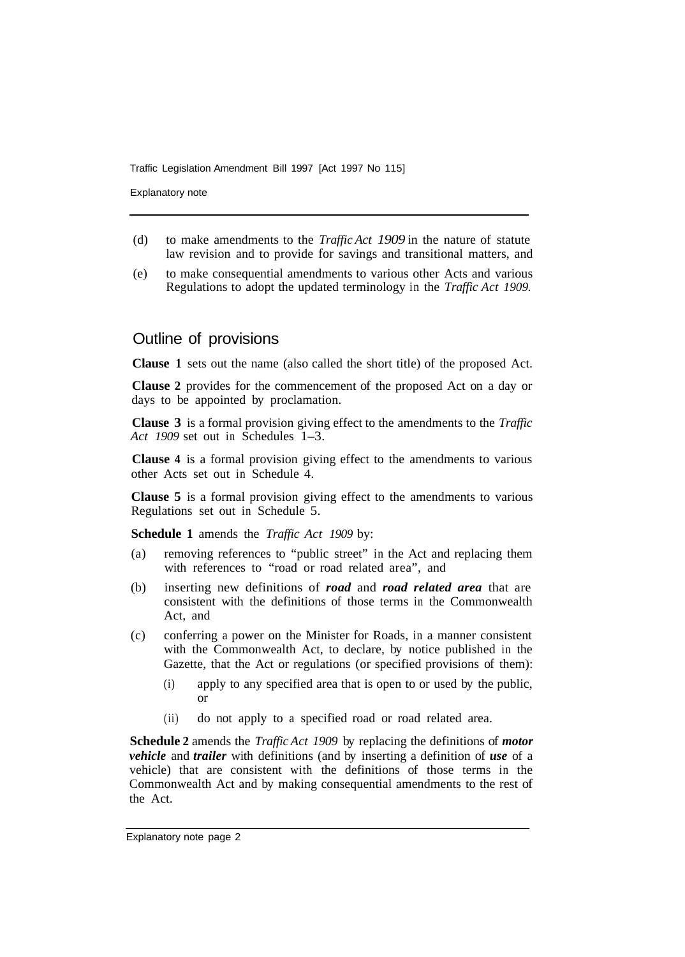Traffic Legislation Amendment Bill 1997 [Act 1997 No 115]

Explanatory note

- (d) to make amendments to the *Traffic Act 1909* in the nature of statute law revision and to provide for savings and transitional matters, and
- (e) to make consequential amendments to various other Acts and various Regulations to adopt the updated terminology in the *Traffic Act 1909.*

## Outline of provisions

**Clause 1** sets out the name (also called the short title) of the proposed Act.

**Clause 2** provides for the commencement of the proposed Act on a day or days to be appointed by proclamation.

**Clause 3** is a formal provision giving effect to the amendments to the *Traffic Act 1909* set out in Schedules 1–3.

**Clause 4** is a formal provision giving effect to the amendments to various other Acts set out in Schedule 4.

**Clause 5** is a formal provision giving effect to the amendments to various Regulations set out in Schedule 5.

**Schedule 1** amends the *Traffic Act 1909* by:

- (a) removing references to "public street" in the Act and replacing them with references to "road or road related area", and
- (b) inserting new definitions of *road* and *road related area* that are consistent with the definitions of those terms in the Commonwealth Act, and
- (c) conferring a power on the Minister for Roads, in a manner consistent with the Commonwealth Act, to declare, by notice published in the Gazette, that the Act or regulations (or specified provisions of them):
	- (i) apply to any specified area that is open to or used by the public, or
	- (ii) do not apply to a specified road or road related area.

**Schedule 2** amends the *Traffic Act 1909* by replacing the definitions of *motor vehicle* and *trailer* with definitions (and by inserting a definition of *use* of a vehicle) that are consistent with the definitions of those terms in the Commonwealth Act and by making consequential amendments to the rest of the Act.

Explanatory note page 2